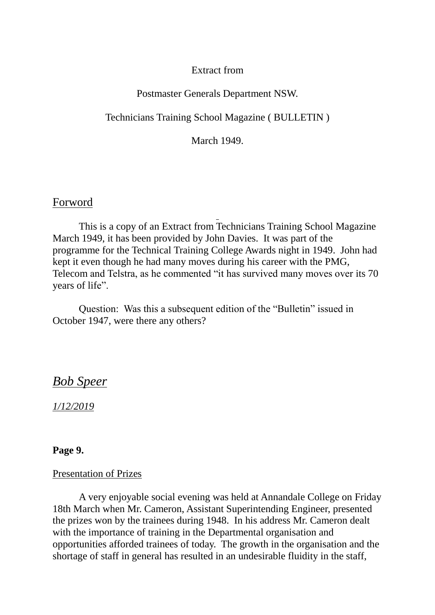# Extract from

## Postmaster Generals Department NSW.

Technicians Training School Magazine ( BULLETIN )

March 1949.

# Forword

This is a copy of an Extract from Technicians Training School Magazine March 1949, it has been provided by John Davies. It was part of the programme for the Technical Training College Awards night in 1949. John had kept it even though he had many moves during his career with the PMG, Telecom and Telstra, as he commented "it has survived many moves over its 70 years of life".

Question: Was this a subsequent edition of the "Bulletin" issued in October 1947, were there any others?

# *Bob Speer*

*1/12/2019*

## **Page 9.**

### Presentation of Prizes

A very enjoyable social evening was held at Annandale College on Friday 18th March when Mr. Cameron, Assistant Superintending Engineer, presented the prizes won by the trainees during 1948. In his address Mr. Cameron dealt with the importance of training in the Departmental organisation and opportunities afforded trainees of today. The growth in the organisation and the shortage of staff in general has resulted in an undesirable fluidity in the staff,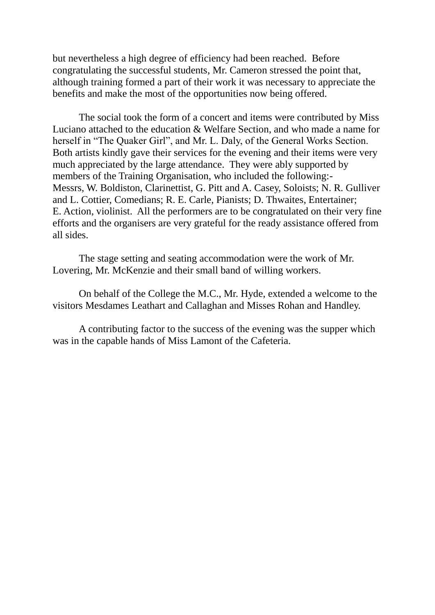but nevertheless a high degree of efficiency had been reached. Before congratulating the successful students, Mr. Cameron stressed the point that, although training formed a part of their work it was necessary to appreciate the benefits and make the most of the opportunities now being offered.

The social took the form of a concert and items were contributed by Miss Luciano attached to the education & Welfare Section, and who made a name for herself in "The Quaker Girl", and Mr. L. Daly, of the General Works Section. Both artists kindly gave their services for the evening and their items were very much appreciated by the large attendance. They were ably supported by members of the Training Organisation, who included the following:- Messrs, W. Boldiston, Clarinettist, G. Pitt and A. Casey, Soloists; N. R. Gulliver and L. Cottier, Comedians; R. E. Carle, Pianists; D. Thwaites, Entertainer; E. Action, violinist. All the performers are to be congratulated on their very fine efforts and the organisers are very grateful for the ready assistance offered from all sides.

The stage setting and seating accommodation were the work of Mr. Lovering, Mr. McKenzie and their small band of willing workers.

On behalf of the College the M.C., Mr. Hyde, extended a welcome to the visitors Mesdames Leathart and Callaghan and Misses Rohan and Handley.

A contributing factor to the success of the evening was the supper which was in the capable hands of Miss Lamont of the Cafeteria.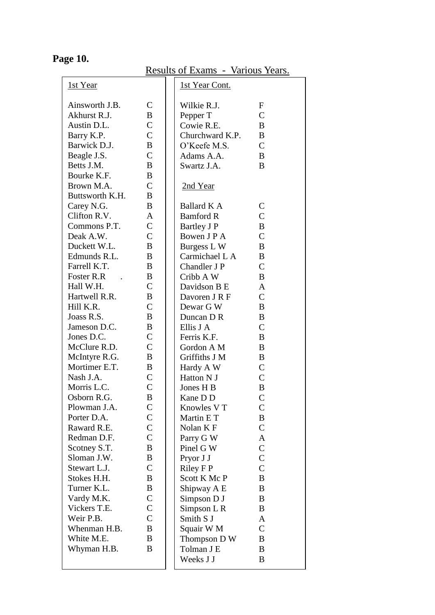| <u>1st Year</u> |                | <u>1st Year Cont.</u> |                |
|-----------------|----------------|-----------------------|----------------|
| Ainsworth J.B.  | $\mathsf{C}$   | Wilkie R.J.           | $\mathbf F$    |
| Akhurst R.J.    | B              | Pepper T              | $\mathsf{C}$   |
| Austin D.L.     | $\overline{C}$ | Cowie R.E.            | $\bf{B}$       |
| Barry K.P.      | $\mathcal{C}$  | Churchward K.P.       | B              |
| Barwick D.J.    | B              | O'Keefe M.S.          | $\mathcal{C}$  |
| Beagle J.S.     | $\mathcal{C}$  | Adams A.A.            | B              |
| Betts J.M.      | B              | Swartz J.A.           | B              |
| Bourke K.F.     | B              |                       |                |
| Brown M.A.      | $\mathcal{C}$  | <u>2nd Year</u>       |                |
| Buttsworth K.H. | B              |                       |                |
| Carey N.G.      | B              | Ballard K A           | $\mathsf{C}$   |
| Clifton R.V.    | A              | <b>Bamford R</b>      | $\overline{C}$ |
| Commons P.T.    | $\overline{C}$ | Bartley J P           | B              |
| Deak A.W.       | $\overline{C}$ | Bowen J P A           | $\overline{C}$ |
| Duckett W.L.    | B              | Burgess L W           | B              |
| Edmunds R.L.    | B              | Carmichael L A        | B              |
| Farrell K.T.    | B              | Chandler J P          | $\overline{C}$ |
| Foster R.R.     | B              | Cribb A W             | B              |
| Hall W.H.       | $\mathcal{C}$  | Davidson B E          | A              |
| Hartwell R.R.   | $\bf{B}$       |                       | $\overline{C}$ |
| Hill K.R.       | $\overline{C}$ | Davoren J R F         |                |
|                 | $\bf{B}$       | Dewar G W             | B              |
| Joass R.S.      |                | Duncan D R            | B              |
| Jameson D.C.    | B              | Ellis J A             | $\mathcal{C}$  |
| Jones D.C.      | $\mathsf{C}$   | Ferris K.F.           | B              |
| McClure R.D.    | $\overline{C}$ | Gordon A M            | B              |
| McIntyre R.G.   | $\bf{B}$       | Griffiths J M         | B              |
| Mortimer E.T.   | B              | Hardy A W             | $\mathcal{C}$  |
| Nash J.A.       | $\mathcal{C}$  | Hatton N J            | $\overline{C}$ |
| Morris L.C.     | $\mathcal{C}$  | Jones H B             | B              |
| Osborn R.G.     | B              | Kane D D              | $\overline{C}$ |
| Plowman J.A.    | C              | Knowles V T           | C              |
| Porter D.A.     | $\mathsf{C}$   | Martin E T            | B              |
| Raward R.E.     | $\mathsf{C}$   | Nolan K F             | $\mathsf{C}$   |
| Redman D.F.     | $\overline{C}$ | Parry G W             | A              |
| Scotney S.T.    | $\bf{B}$       | Pinel G W             | $\overline{C}$ |
| Sloman J.W.     | B              | Pryor J J             | $\mathsf{C}$   |
| Stewart L.J.    | $\mathcal{C}$  | <b>Riley F P</b>      | $\overline{C}$ |
| Stokes H.H.     | B              | Scott K Mc P          | B              |
| Turner K.L.     | B              | Shipway A E           | B              |
| Vardy M.K.      | $\mathsf{C}$   | Simpson D J           | B              |
| Vickers T.E.    | $\mathsf{C}$   | Simpson L R           | B              |
| Weir P.B.       | $\overline{C}$ | Smith S J             | A              |
| Whenman H.B.    | $\bf{B}$       | Squair W M            | $\overline{C}$ |
| White M.E.      | B              | Thompson D W          | B              |
| Whyman H.B.     | B              | Tolman J E            | B              |
|                 |                | Weeks J J             | B              |
|                 |                |                       |                |

**Page 10.**

Results of Exams - Various Years.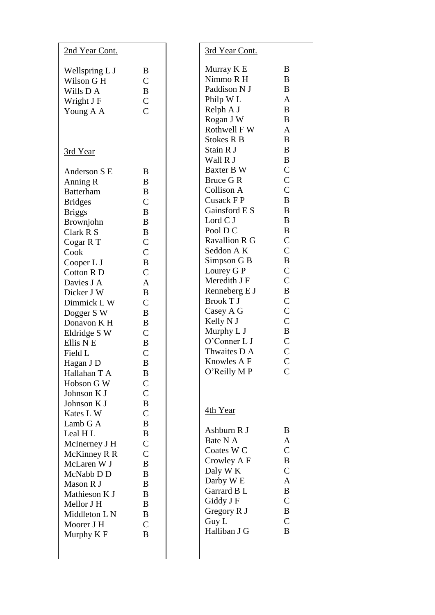| 2nd Year Cont.   |                    |
|------------------|--------------------|
| Wellspring L J   | B                  |
| Wilson G H       | $\overline{C}$     |
| Wills D A        | B                  |
| Wright J F       | $\overline{C}$     |
| Young A A        | $\overline{C}$     |
| <u>3rd Year</u>  |                    |
| Anderson S E     | B                  |
| Anning R         | B                  |
| <b>Batterham</b> | B                  |
| <b>Bridges</b>   | $\overline{C}$     |
| <b>Briggs</b>    | B                  |
| Brownjohn        | B                  |
| Clark R S        | B                  |
| Cogar RT         | $\overline{C}$     |
| Cook             | $\overline{C}$     |
| Cooper L J       | B                  |
| <b>Cotton RD</b> | $\overline{C}$     |
| Davies J A       | $\overline{A}$     |
| Dicker J W       | B                  |
| Dimmick LW       | $\overline{C}$     |
| Dogger S W       | B                  |
| Donavon K H      | B                  |
| Eldridge S W     | $\overline{C}$     |
| Ellis N E        | B                  |
| Field L          | $\overline{C}$     |
| Hagan J D        | B                  |
| Hallahan T A     | Β                  |
| Hobson G W       | $\overline{\rm C}$ |
| Johnson K J      | $\overline{C}$     |
| Johnson K J      | B                  |
| Kates L W        | $\overline{C}$     |
| Lamb G A         | B                  |
| Leal H L         | B                  |
| McInerney J H    | $\overline{\rm C}$ |
| McKinney R R     | $\overline{C}$     |
| McLaren W J      | B                  |
| McNabb D D       | B                  |
| Mason R J        | B                  |
| Mathieson K J    | B                  |
| Mellor J H       | B                  |
| Middleton L N    | B                  |
| Moorer J H       | $\overline{C}$     |
| Murphy K F       | B                  |

| 3rd Year Cont.                                                                                                                                                                                                                                                                                                                                                                                                                                                             |                                                                                                                                                                                                                                                                                                                                                            |
|----------------------------------------------------------------------------------------------------------------------------------------------------------------------------------------------------------------------------------------------------------------------------------------------------------------------------------------------------------------------------------------------------------------------------------------------------------------------------|------------------------------------------------------------------------------------------------------------------------------------------------------------------------------------------------------------------------------------------------------------------------------------------------------------------------------------------------------------|
| Murray K E<br>Nimmo R H<br>Paddison N J<br>Philp W L<br>Relph A J<br>Rogan J W<br>Rothwell FW<br><b>Stokes R B</b><br>Stain R J<br>Wall R J<br>Baxter B W<br>Bruce G R<br>Collison A<br>Cusack F P<br>Gainsford E S<br>Lord C J<br>Pool D C<br><b>Ravallion R G</b><br>Seddon A K<br>Simpson G B<br>Lourey G P<br>Meredith J F<br>Renneberg E J<br><b>Brook T J</b><br>Casey A G<br>Kelly N J<br>Murphy L J<br>O'Conner L J<br>Thwaites D A<br>Knowles A F<br>O'Reilly M P | B<br>B<br>B<br>$\overline{A}$<br>B<br>B<br>$\overline{A}$<br>B<br>B<br>B<br>$\overline{C}$<br>$\overline{C}$<br>$\overline{C}$<br>B<br>B<br>B<br>B<br>$\overline{C}$<br>$\overline{C}$<br>B<br>$\overline{C}$<br>$\overline{C}$<br>B<br>$\overline{C}$<br>$\overline{C}$<br>$\overline{C}$<br>B<br>$\overline{C}$<br>$\overline{C}$<br>Ċ<br>$\overline{C}$ |
| <u>4th Year</u><br>Ashburn R J<br>Bate N A<br>Coates W <sub>C</sub><br>Crowley A F<br>Daly W K<br>Darby W E<br>Garrard B L<br>Giddy J F<br>Gregory R J<br>Guy L<br>Halliban J G                                                                                                                                                                                                                                                                                            | B<br>$\overline{A}$<br>$\overline{C}$<br>B<br>$\overline{C}$<br>$\overline{A}$<br>B<br>$\overline{C}$<br>B<br>$\overline{C}$<br>B                                                                                                                                                                                                                          |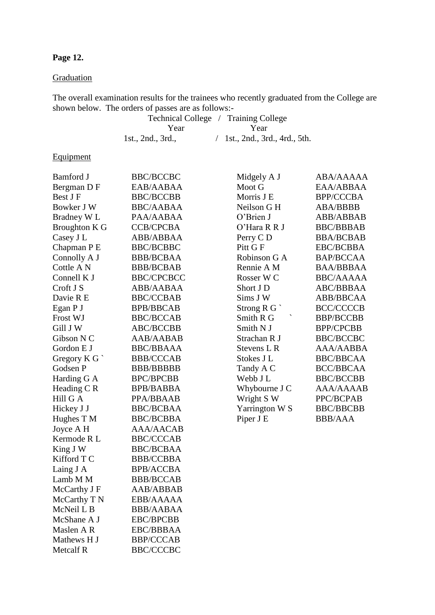## **Page 12.**

## **Graduation**

The overall examination results for the trainees who recently graduated from the College are shown below. The orders of passes are as follows:-

Technical College / Training College Year Year 1st., 2nd., 3rd., / 1st., 2nd., 3rd., 4rd., 5th.

# **Equipment**

| <b>Bamford J</b>       | <b>BBC/BCCBC</b>  | Midgely A J           | ABA/AAAAA        |
|------------------------|-------------------|-----------------------|------------------|
| Bergman D F            | EAB/AABAA         | Moot G                | EAA/ABBAA        |
| Best J F               | <b>BBC/BCCBB</b>  | Morris J E            | <b>BPP/CCCBA</b> |
| Bowker J W             | <b>BBC/AABAA</b>  | Neilson G H           | <b>ABA/BBBB</b>  |
| Bradney W <sub>L</sub> | PAA/AABAA         | O'Brien J             | ABB/ABBAB        |
| <b>Broughton K G</b>   | <b>CCB/CPCBA</b>  | O'Hara R R J          | <b>BBC/BBBAB</b> |
| Casey J L              | ABB/ABBAA         | Perry CD              | <b>BBA/BCBAB</b> |
| Chapman P E            | <b>BBC/BCBBC</b>  | Pitt G F              | <b>EBC/BCBBA</b> |
| Connolly A J           | <b>BBB/BCBAA</b>  | Robinson G A          | BAP/BCCAA        |
| Cottle A N             | <b>BBB/BCBAB</b>  | Rennie A M            | <b>BAA/BBBAA</b> |
| Connell K J            | <b>BBC/CPCBCC</b> | Rosser W <sub>C</sub> | <b>BBC/AAAAA</b> |
| Croft J S              | ABB/AABAA         | Short J D             | <b>ABC/BBBAA</b> |
| Davie R E              | <b>BBC/CCBAB</b>  | Sims J W              | ABB/BBCAA        |
| Egan P J               | <b>BPB/BBCAB</b>  | Strong $R G$          | <b>BCC/CCCCB</b> |
| Frost WJ               | <b>BBC/BCCAB</b>  | Smith R G             | <b>BBP/BCCBB</b> |
| Gill J W               | <b>ABC/BCCBB</b>  | Smith N J             | <b>BPP/CPCBB</b> |
| Gibson N C             | AAB/AABAB         | Strachan R J          | <b>BBC/BCCBC</b> |
| Gordon E J             | <b>BBC/BBAAA</b>  | Stevens L R           | AAA/AABBA        |
| Gregory K G            | <b>BBB/CCCAB</b>  | Stokes J L            | <b>BBC/BBCAA</b> |
| Godsen P               | <b>BBB/BBBBB</b>  | Tandy A C             | <b>BCC/BBCAA</b> |
| Harding G A            | <b>BPC/BPCBB</b>  | Webb J L              | <b>BBC/BCCBB</b> |
| Heading C R            | <b>BPB/BABBA</b>  | Whybourne J C         | AAA/AAAAB        |
| Hill G A               | PPA/BBAAB         | Wright S W            | PPC/BCPAB        |
| Hickey J J             | <b>BBC/BCBAA</b>  | Yarrington W S        | <b>BBC/BBCBB</b> |
| Hughes T M             | <b>BBC/BCBBA</b>  | Piper J E             | <b>BBB/AAA</b>   |
| Joyce A H              | <b>AAA/AACAB</b>  |                       |                  |
| Kermode R L            | <b>BBC/CCCAB</b>  |                       |                  |
| King J W               | <b>BBC/BCBAA</b>  |                       |                  |
| Kifford T C            | <b>BBB/CCBBA</b>  |                       |                  |
| Laing J A              | <b>BPB/ACCBA</b>  |                       |                  |
| Lamb M M               | <b>BBB/BCCAB</b>  |                       |                  |
| McCarthy J F           | AAB/ABBAB         |                       |                  |
| McCarthy T N           | EBB/AAAAA         |                       |                  |
| McNeil L B             | <b>BBB/AABAA</b>  |                       |                  |
| McShane A J            | <b>EBC/BPCBB</b>  |                       |                  |
| Maslen A R             | EBC/BBBAA         |                       |                  |
| Mathews H J            | <b>BBP/CCCAB</b>  |                       |                  |
| <b>Metcalf R</b>       | <b>BBC/CCCBC</b>  |                       |                  |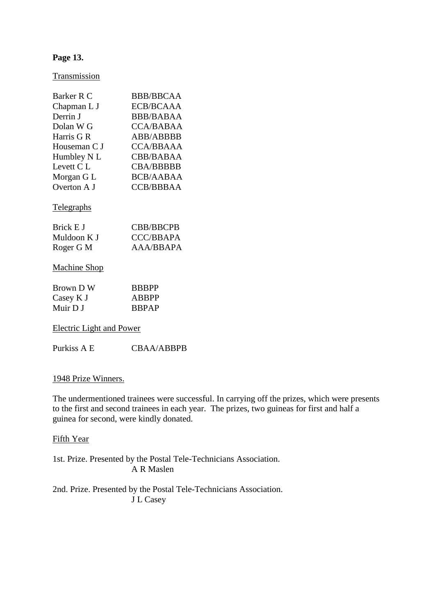## **Page 13.**

Transmission

| Barker R C          | BBB/BBCAA        |
|---------------------|------------------|
| Chapman L J         | ECB/BCAAA        |
| Derrin J            | BBB/BABAA        |
| Dolan W G           | CCA/BABAA        |
| Harris G R          | ABB/ABBBB        |
| Houseman C J        | CCA/BBAAA        |
| Humbley N L         | <b>CBB/BABAA</b> |
| Levett C.L          | <b>CBA/BBBBB</b> |
| Morgan G L          | <b>BCB/AABAA</b> |
| Overton A J         | CCB/BBBAA        |
| <u>Telegraphs</u>   |                  |
| Brick E J           | CBB/BBCPB        |
| Muldoon K J         | CCC/BBAPA        |
| Roger G M           | AAA/BBAPA        |
| <b>Machine Shop</b> |                  |

| Brown D W | <b>BBBPP</b> |
|-----------|--------------|
| Casey K J | ABBPP        |
| Muir D J  | <b>BBPAP</b> |

Electric Light and Power

Purkiss A E CBAA/ABBPB

### 1948 Prize Winners.

The undermentioned trainees were successful. In carrying off the prizes, which were presents to the first and second trainees in each year. The prizes, two guineas for first and half a guinea for second, were kindly donated.

### Fifth Year

1st. Prize. Presented by the Postal Tele-Technicians Association. A R Maslen

2nd. Prize. Presented by the Postal Tele-Technicians Association. J L Casey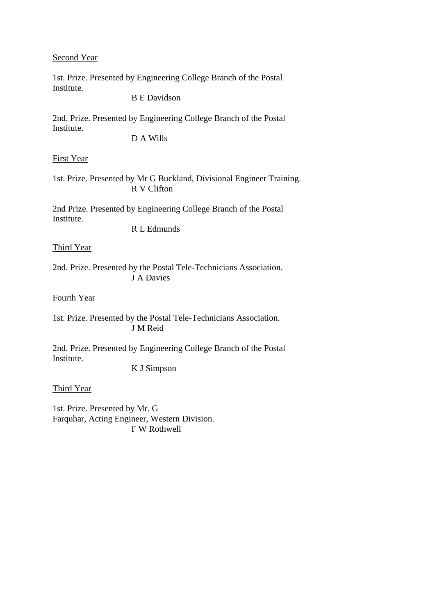## Second Year

1st. Prize. Presented by Engineering College Branch of the Postal Institute.

B E Davidson

2nd. Prize. Presented by Engineering College Branch of the Postal Institute.

D A Wills

### First Year

1st. Prize. Presented by Mr G Buckland, Divisional Engineer Training. R V Clifton

2nd Prize. Presented by Engineering College Branch of the Postal Institute. R L Edmunds

Third Year

2nd. Prize. Presented by the Postal Tele-Technicians Association. J A Davies

Fourth Year

1st. Prize. Presented by the Postal Tele-Technicians Association. J M Reid

2nd. Prize. Presented by Engineering College Branch of the Postal Institute.

K J Simpson

Third Year

1st. Prize. Presented by Mr. G Farquhar, Acting Engineer, Western Division. F W Rothwell